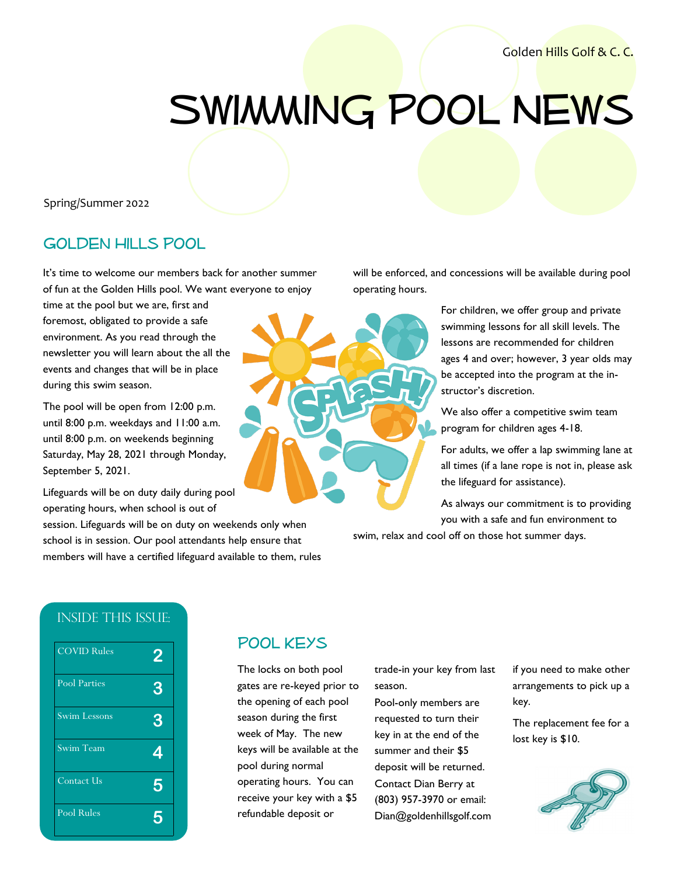# SWIMMING POOL NEWS

#### Spring/Summer 2022

## Golden Hills Pool

It's time to welcome our members back for another summer of fun at the Golden Hills pool. We want everyone to enjoy

time at the pool but we are, first and foremost, obligated to provide a safe environment. As you read through the newsletter you will learn about the all the events and changes that will be in place during this swim season.

The pool will be open from 12:00 p.m. until 8:00 p.m. weekdays and 11:00 a.m. until 8:00 p.m. on weekends beginning Saturday, May 28, 2021 through Monday, September 5, 2021.

Lifeguards will be on duty daily during pool operating hours, when school is out of

session. Lifeguards will be on duty on weekends only when school is in session. Our pool attendants help ensure that members will have a certified lifeguard available to them, rules



will be enforced, and concessions will be available during pool operating hours.

> For children, we offer group and private swimming lessons for all skill levels. The lessons are recommended for children ages 4 and over; however, 3 year olds may be accepted into the program at the instructor's discretion.

We also offer a competitive swim team program for children ages 4-18.

For adults, we offer a lap swimming lane at all times (if a lane rope is not in, please ask the lifeguard for assistance).

As always our commitment is to providing you with a safe and fun environment to

swim, relax and cool off on those hot summer days.

#### Inside this issue:

| <b>COVID Rules</b>  | 2 |
|---------------------|---|
| <b>Pool Parties</b> | З |
| <b>Swim Lessons</b> | З |
| <b>Swim Team</b>    | 4 |
| <b>Contact Us</b>   | 5 |
| Pool Rules          | 5 |

## Pool Keys

The locks on both pool gates are re-keyed prior to the opening of each pool season during the first week of May. The new keys will be available at the pool during normal operating hours. You can receive your key with a \$5 refundable deposit or

trade-in your key from last season.

Pool-only members are requested to turn their key in at the end of the summer and their \$5 deposit will be returned. Contact Dian Berry at (803) 957-3970 or email: Dian@goldenhillsgolf.com if you need to make other arrangements to pick up a key.

The replacement fee for a lost key is \$10.

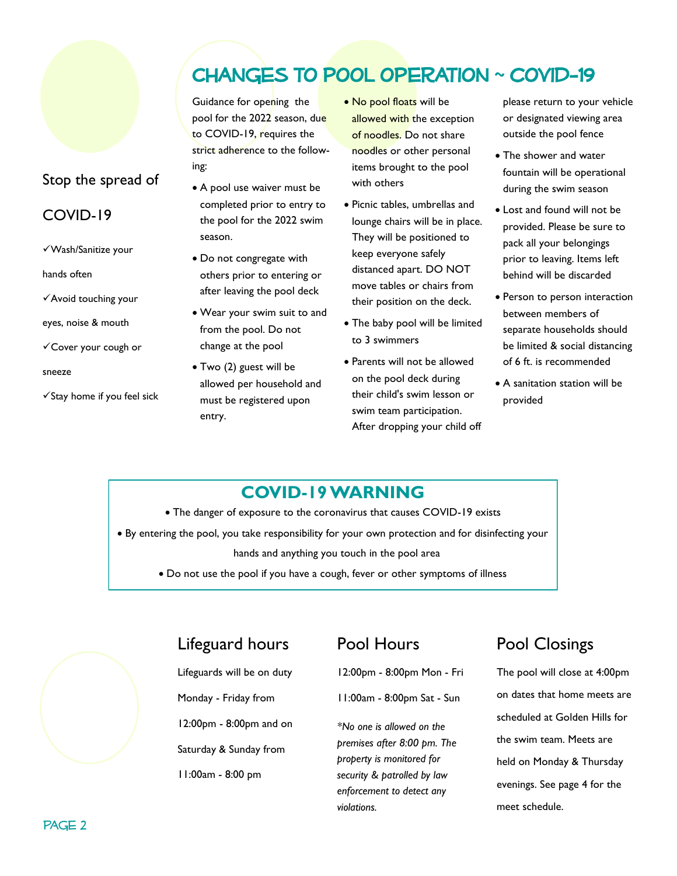# Changes to pool operation ~ covid-19

Guidance for opening the pool for the 2022 season, due to COVID-19, requires the strict adherence to the following:

- A pool use waiver must be completed prior to entry to the pool for the 2022 swim season.
- Do not congregate with others prior to entering or after leaving the pool deck
- Wear your swim suit to and from the pool. Do not change at the pool
- Two (2) guest will be allowed per household and must be registered upon entry.
- No pool floats will be allowed with the exception of noodles. Do not share noodles or other personal items brought to the pool with others
- Picnic tables, umbrellas and lounge chairs will be in place. They will be positioned to keep everyone safely distanced apart. DO NOT move tables or chairs from their position on the deck.
- The baby pool will be limited to 3 swimmers
- Parents will not be allowed on the pool deck during their child's swim lesson or swim team participation. After dropping your child off

please return to your vehicle or designated viewing area outside the pool fence

- The shower and water fountain will be operational during the swim season
- Lost and found will not be provided. Please be sure to pack all your belongings prior to leaving. Items left behind will be discarded
- Person to person interaction between members of separate households should be limited & social distancing of 6 ft. is recommended
- A sanitation station will be provided

## **COVID-19 WARNING**

- The danger of exposure to the coronavirus that causes COVID-19 exists • By entering the pool, you take responsibility for your own protection and for disinfecting your hands and anything you touch in the pool area
	- Do not use the pool if you have a cough, fever or other symptoms of illness

## Lifeguard hours

Lifeguards will be on duty

12:00pm - 8:00pm and on

Saturday & Sunday from

11:00am - 8:00 pm

Monday - Friday from

Pool Hours

12:00pm - 8:00pm Mon - Fri

11:00am - 8:00pm Sat - Sun

*\*No one is allowed on the premises after 8:00 pm. The property is monitored for security & patrolled by law enforcement to detect any violations.*

## Pool Closings

The pool will close at 4:00pm on dates that home meets are scheduled at Golden Hills for the swim team. Meets are held on Monday & Thursday evenings. See page 4 for the meet schedule.

## Stop the spread of

### COVID-19

- ✓Wash/Sanitize your
- hands often
- ✓Avoid touching your
- eyes, noise & mouth
- ✓Cover your cough or
- sneeze
- ✓Stay home if you feel sick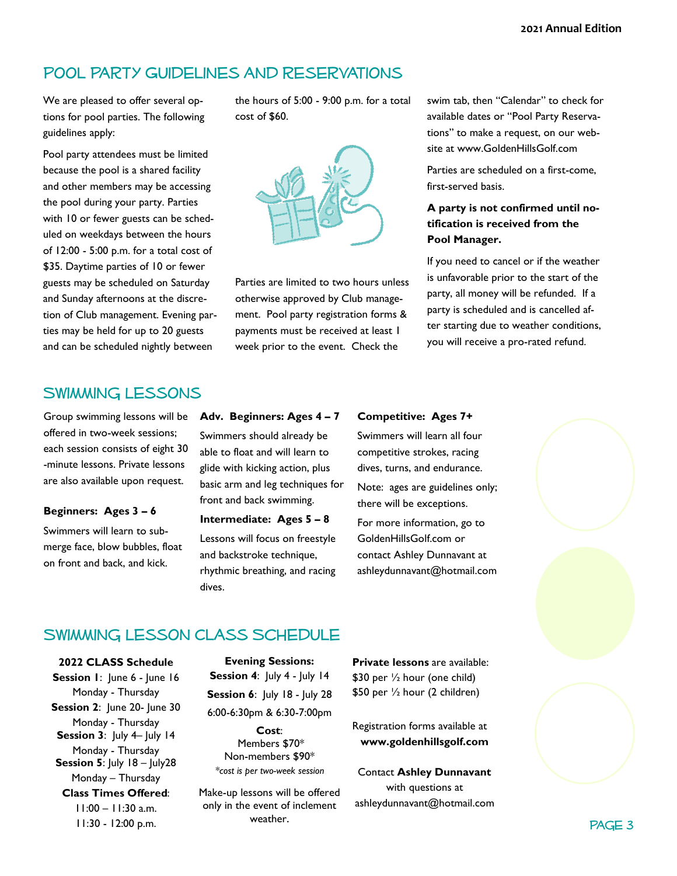## Pool Party Guidelines and reservations

We are pleased to offer several options for pool parties. The following guidelines apply:

Pool party attendees must be limited because the pool is a shared facility and other members may be accessing the pool during your party. Parties with 10 or fewer guests can be scheduled on weekdays between the hours of 12:00 - 5:00 p.m. for a total cost of \$35. Daytime parties of 10 or fewer guests may be scheduled on Saturday and Sunday afternoons at the discretion of Club management. Evening parties may be held for up to 20 guests and can be scheduled nightly between

the hours of 5:00 - 9:00 p.m. for a total cost of \$60.



Parties are limited to two hours unless otherwise approved by Club management. Pool party registration forms & payments must be received at least 1 week prior to the event. Check the

swim tab, then "Calendar" to check for available dates or "Pool Party Reservations" to make a request, on our website at www.GoldenHillsGolf.com

Parties are scheduled on a first-come, first-served basis.

#### **A party is not confirmed until notification is received from the Pool Manager.**

If you need to cancel or if the weather is unfavorable prior to the start of the party, all money will be refunded. If a party is scheduled and is cancelled after starting due to weather conditions, you will receive a pro-rated refund.

## Swimming Lessons

Group swimming lessons will be **Adv. Beginners: Ages 4 - 7** offered in two-week sessions; each session consists of eight 30 -minute lessons. Private lessons are also available upon request.

#### **Beginners: Ages 3 – 6**

Swimmers will learn to submerge face, blow bubbles, float on front and back, and kick.

Swimmers should already be able to float and will learn to glide with kicking action, plus basic arm and leg techniques for front and back swimming.

**Intermediate: Ages 5 – 8** Lessons will focus on freestyle and backstroke technique, rhythmic breathing, and racing dives.

#### **Competitive: Ages 7+**

Swimmers will learn all four competitive strokes, racing dives, turns, and endurance.

Note: ages are guidelines only; there will be exceptions.

For more information, go to GoldenHillsGolf.com or contact Ashley Dunnavant at ashleydunnavant@hotmail.com



## Swimming Lesson Class Schedule

**2022 CLASS Schedule**

**Session 1**: June 6 - June 16 Monday - Thursday **Session 2: June 20- June 30** Monday - Thursday **Session 3**: July 4– July 14 Monday - Thursday **Session 5**: July 18 – July28 Monday – Thursday **Class Times Offered**: 11:00 – 11:30 a.m. 11:30 - 12:00 p.m.

**Evening Sessions: Session 4**: July 4 - July 14 **Session 6**: July 18 - July 28 6:00-6:30pm & 6:30-7:00pm

**Cost**: Members \$70\* Non-members \$90\* *\*cost is per two-week session*

Make-up lessons will be offered only in the event of inclement weather.

**Private lessons** are available: \$30 per ½ hour (one child) \$50 per ½ hour (2 children)

Registration forms available at **www.goldenhillsgolf.com**

Contact **Ashley Dunnavant**  with questions at ashleydunnavant@hotmail.com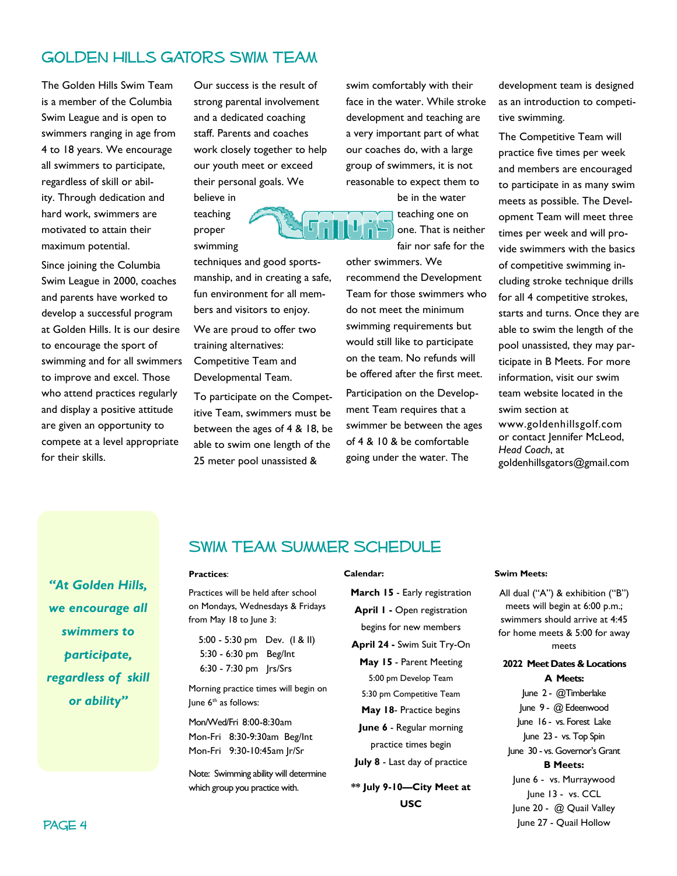## GOI DEN HILLS GATORS SWIM TEAM

The Golden Hills Swim Team is a member of the Columbia Swim League and is open to swimmers ranging in age from 4 to 18 years. We encourage all swimmers to participate, regardless of skill or ability. Through dedication and hard work, swimmers are motivated to attain their maximum potential.

Since joining the Columbia Swim League in 2000, coaches and parents have worked to develop a successful program at Golden Hills. It is our desire to encourage the sport of swimming and for all swimmers to improve and excel. Those who attend practices regularly and display a positive attitude are given an opportunity to compete at a level appropriate for their skills.

Our success is the result of strong parental involvement and a dedicated coaching staff. Parents and coaches work closely together to help our youth meet or exceed their personal goals. We believe in

proper swimming

teaching

techniques and good sportsmanship, and in creating a safe, fun environment for all members and visitors to enjoy. We are proud to offer two

L

training alternatives: Competitive Team and Developmental Team.

To participate on the Competitive Team, swimmers must be between the ages of 4 & 18, be able to swim one length of the 25 meter pool unassisted &

swim comfortably with their face in the water. While stroke development and teaching are a very important part of what our coaches do, with a large group of swimmers, it is not reasonable to expect them to

> be in the water teaching one on one. That is neither

fair nor safe for the

other swimmers. We recommend the Development Team for those swimmers who do not meet the minimum swimming requirements but would still like to participate on the team. No refunds will be offered after the first meet.

Participation on the Development Team requires that a swimmer be between the ages of 4 & 10 & be comfortable going under the water. The

development team is designed as an introduction to competitive swimming.

The Competitive Team will practice five times per week and members are encouraged to participate in as many swim meets as possible. The Development Team will meet three times per week and will provide swimmers with the basics of competitive swimming including stroke technique drills for all 4 competitive strokes, starts and turns. Once they are able to swim the length of the pool unassisted, they may participate in B Meets. For more information, visit our swim team website located in the swim section at www.goldenhillsgolf.com or contact Jennifer McLeod, *Head Coach*, at goldenhillsgators@gmail.com

*"At Golden Hills, we encourage all swimmers to participate, regardless of skill or ability"*

## SWIM TEAM SUMMER SCHEDUI E

#### **Practices**:

Practices will be held after school on Mondays, Wednesdays & Fridays from May 18 to June 3:

 5:00 - 5:30 pm Dev. (I & II) 5:30 - 6:30 pm Beg/Int 6:30 - 7:30 pm Jrs/Srs

Morning practice times will begin on June 6<sup>th</sup> as follows:

Mon/Wed/Fri 8:00-8:30am Mon-Fri 8:30-9:30am Beg/Int Mon-Fri 9:30-10:45am Jr/Sr

Note: Swimming ability will determine which group you practice with.

#### **Calendar:**

**March 15** - Early registration **April 1 -** Open registration begins for new members **April 24 -** Swim Suit Try-On **May 15** - Parent Meeting 5:00 pm Develop Team 5:30 pm Competitive Team

**May 18**- Practice begins **June 6** - Regular morning

practice times begin

**July 8** - Last day of practice

**\*\* July 9-10—City Meet at USC**

#### **Swim Meets:**

All dual ("A") & exhibition ("B") meets will begin at 6:00 p.m.; swimmers should arrive at 4:45 for home meets & 5:00 for away meets

#### **2022 Meet Dates & Locations A Meets:**

June 2 - @Timberlake June 9 - @ Edeenwood June 16 - vs. Forest Lake June 23 - vs. Top Spin June 30 - vs. Governor's Grant **B Meets:** June 6 - vs. Murraywood June 13 - vs. CCL June 20 - @ Quail Valley June 27 - Quail Hollow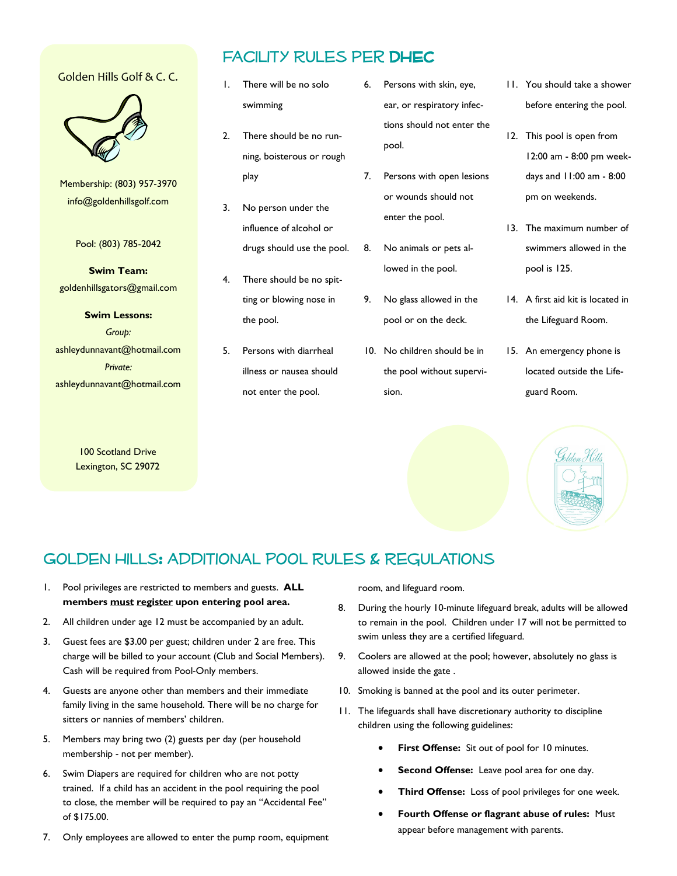#### Golden Hills Golf & C. C.



Membership: (803) 957-3970 info@goldenhillsgolf.com

Pool: (803) 785-2042

**Swim Team:**  goldenhillsgators@gmail.com

**Swim Lessons:**  *Group:* ashleydunnavant@hotmail.com *Private:* ashleydunnavant@hotmail.com

> 100 Scotland Drive Lexington, SC 29072

## Facility Rules per DHEC

- 1. There will be no solo swimming
- 2. There should be no running, boisterous or rough play
- 3. No person under the influence of alcohol or drugs should use the pool.
- 4. There should be no spitting or blowing nose in the pool.
- 5. Persons with diarrheal illness or nausea should not enter the pool.
- 6. Persons with skin, eye, ear, or respiratory infections should not enter the pool.
- 7. Persons with open lesions or wounds should not enter the pool.
- 8. No animals or pets allowed in the pool.
- 9. No glass allowed in the pool or on the deck.
- 10. No children should be in the pool without supervision.
- 11. You should take a shower before entering the pool.
- 12. This pool is open from 12:00 am - 8:00 pm weekdays and 11:00 am - 8:00 pm on weekends.
- 13. The maximum number of swimmers allowed in the pool is 125.
- 14. A first aid kit is located in the Lifeguard Room.
- 15. An emergency phone is located outside the Lifeguard Room.



## Golden Hills: additional Pool Rules & Regulations

- 1. Pool privileges are restricted to members and guests. **ALL members must register upon entering pool area.**
- 2. All children under age 12 must be accompanied by an adult.
- 3. Guest fees are \$3.00 per guest; children under 2 are free. This charge will be billed to your account (Club and Social Members). Cash will be required from Pool-Only members.
- 4. Guests are anyone other than members and their immediate family living in the same household. There will be no charge for sitters or nannies of members' children.
- 5. Members may bring two (2) guests per day (per household membership - not per member).
- 6. Swim Diapers are required for children who are not potty trained. If a child has an accident in the pool requiring the pool to close, the member will be required to pay an "Accidental Fee" of \$175.00.
- 7. Only employees are allowed to enter the pump room, equipment

room, and lifeguard room.

- 8. During the hourly 10-minute lifeguard break, adults will be allowed to remain in the pool. Children under 17 will not be permitted to swim unless they are a certified lifeguard.
- 9. Coolers are allowed at the pool; however, absolutely no glass is allowed inside the gate .
- 10. Smoking is banned at the pool and its outer perimeter.
- 11. The lifeguards shall have discretionary authority to discipline children using the following guidelines:
	- First Offense: Sit out of pool for 10 minutes.
	- **Second Offense:** Leave pool area for one day.
	- **Third Offense:** Loss of pool privileges for one week.
	- **Fourth Offense or flagrant abuse of rules:** Must appear before management with parents.